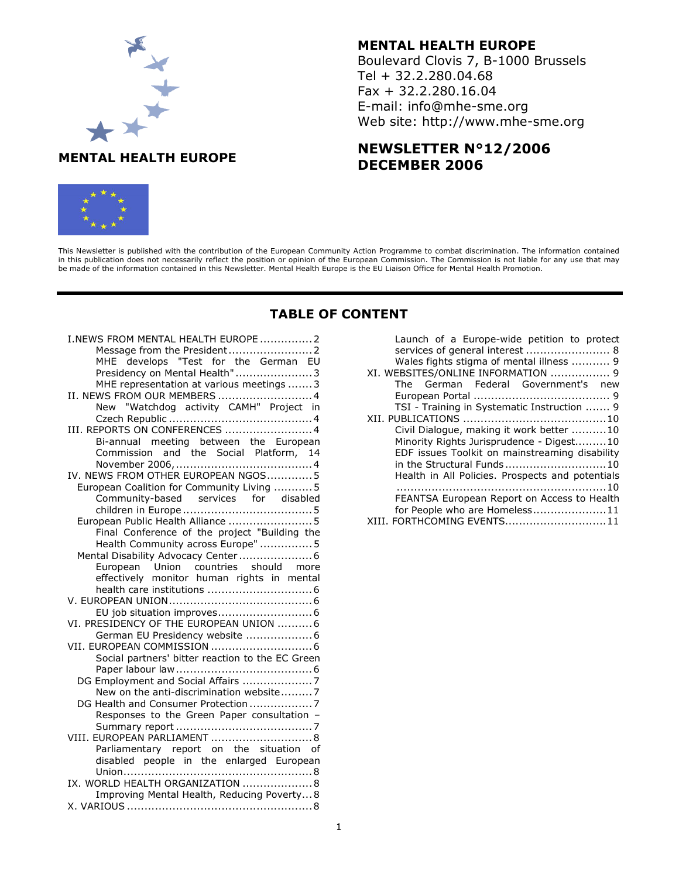

## MENTAL HEALTH EUROPE

Boulevard Clovis 7, B-1000 Brussels Tel + 32.2.280.04.68 Fax + 32.2.280.16.04 E-mail: info@mhe-sme.org Web site: http://www.mhe-sme.org

# NEWSLETTER N°12/2006 DECEMBER 2006



This Newsletter is published with the contribution of the European Community Action Programme to combat discrimination. The information contained in this publication does not necessarily reflect the position or opinion of the European Commission. The Commission is not liable for any use that may be made of the information contained in this Newsletter. Mental Health Europe is the EU Liaison Office for Mental Health Promotion.

# TABLE OF CONTENT

| I.NEWS FROM MENTAL HEALTH EUROPE 2                                     |
|------------------------------------------------------------------------|
|                                                                        |
| MHE develops "Test for the German EU                                   |
| Presidency on Mental Health" 3                                         |
| MHE representation at various meetings  3                              |
|                                                                        |
| II. NEWS FROM OUR MEMBERS 4<br>New "Watchdog activity CAMH" Project in |
|                                                                        |
| III. REPORTS ON CONFERENCES  4                                         |
| Bi-annual meeting between the European                                 |
| Commission and the Social Platform, 14                                 |
|                                                                        |
| IV. NEWS FROM OTHER EUROPEAN NGOS5                                     |
| European Coalition for Community Living  5                             |
| Community-based services for disabled                                  |
|                                                                        |
| European Public Health Alliance  5                                     |
| .<br>Final Conference of the project "Building the                     |
| Health Community across Europe"  5                                     |
| Mental Disability Advocacy Center 6                                    |
| European Union countries should more                                   |
| effectively monitor human rights in mental                             |
|                                                                        |
|                                                                        |
|                                                                        |
| VI. PRESIDENCY OF THE EUROPEAN UNION  6                                |
| German EU Presidency website  6                                        |
|                                                                        |
| Social partners' bitter reaction to the EC Green                       |
|                                                                        |
| DG Employment and Social Affairs 7                                     |
| New on the anti-discrimination website7                                |
| DG Health and Consumer Protection 7                                    |
| Responses to the Green Paper consultation -                            |
|                                                                        |
| VIII. EUROPEAN PARLIAMENT  8                                           |
| Parliamentary report on the situation of                               |
| disabled people in the enlarged European                               |
|                                                                        |
| IX. WORLD HEALTH ORGANIZATION  8                                       |
| Improving Mental Health, Reducing Poverty8                             |
|                                                                        |

| Launch of a Europe-wide petition to protect                                 |  |  |  |  |  |  |
|-----------------------------------------------------------------------------|--|--|--|--|--|--|
| services of general interest  8                                             |  |  |  |  |  |  |
| Wales fights stigma of mental illness  9                                    |  |  |  |  |  |  |
| XI. WEBSITES/ONLINE INFORMATION  9                                          |  |  |  |  |  |  |
| The German Federal Government's new                                         |  |  |  |  |  |  |
|                                                                             |  |  |  |  |  |  |
| TSI - Training in Systematic Instruction  9                                 |  |  |  |  |  |  |
|                                                                             |  |  |  |  |  |  |
| Civil Dialogue, making it work better 10                                    |  |  |  |  |  |  |
| Minority Rights Jurisprudence - Digest10                                    |  |  |  |  |  |  |
| EDF issues Toolkit on mainstreaming disability<br>in the Structural Funds10 |  |  |  |  |  |  |
|                                                                             |  |  |  |  |  |  |
| Health in All Policies. Prospects and potentials                            |  |  |  |  |  |  |
|                                                                             |  |  |  |  |  |  |
| FEANTSA European Report on Access to Health                                 |  |  |  |  |  |  |
| for People who are Homeless11                                               |  |  |  |  |  |  |
| XIII. FORTHCOMING EVENTS11                                                  |  |  |  |  |  |  |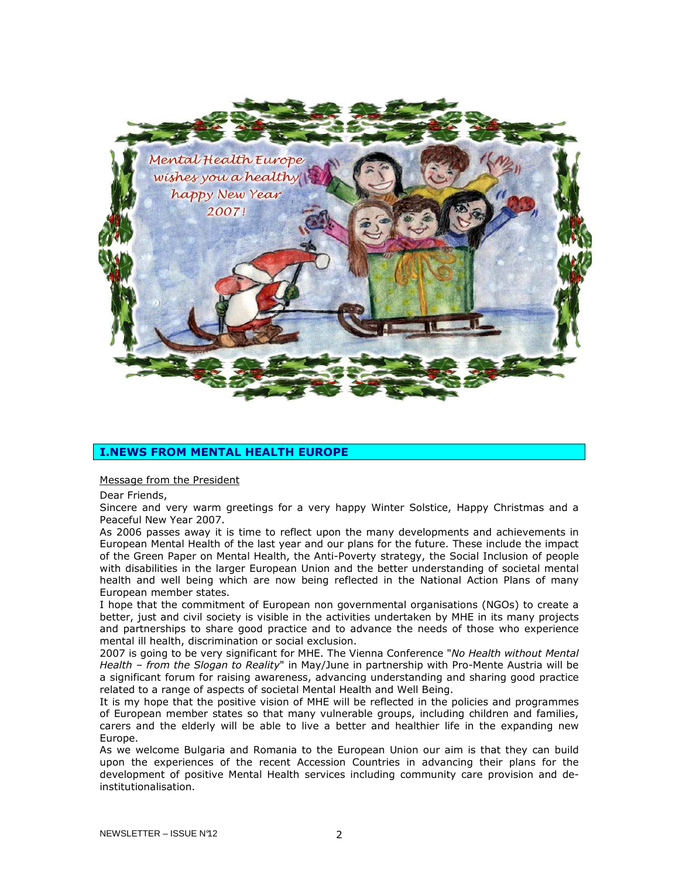

## I.NEWS FROM MENTAL HEALTH EUROPE

#### Message from the President

Dear Friends,

Sincere and very warm greetings for a very happy Winter Solstice, Happy Christmas and a Peaceful New Year 2007.

As 2006 passes away it is time to reflect upon the many developments and achievements in European Mental Health of the last year and our plans for the future. These include the impact of the Green Paper on Mental Health, the Anti-Poverty strategy, the Social Inclusion of people with disabilities in the larger European Union and the better understanding of societal mental health and well being which are now being reflected in the National Action Plans of many European member states.

I hope that the commitment of European non governmental organisations (NGOs) to create a better, just and civil society is visible in the activities undertaken by MHE in its many projects and partnerships to share good practice and to advance the needs of those who experience mental ill health, discrimination or social exclusion.

2007 is going to be very significant for MHE. The Vienna Conference "No Health without Mental Health - from the Slogan to Reality" in May/June in partnership with Pro-Mente Austria will be a significant forum for raising awareness, advancing understanding and sharing good practice related to a range of aspects of societal Mental Health and Well Being.

It is my hope that the positive vision of MHE will be reflected in the policies and programmes of European member states so that many vulnerable groups, including children and families, carers and the elderly will be able to live a better and healthier life in the expanding new Europe.

As we welcome Bulgaria and Romania to the European Union our aim is that they can build upon the experiences of the recent Accession Countries in advancing their plans for the development of positive Mental Health services including community care provision and deinstitutionalisation.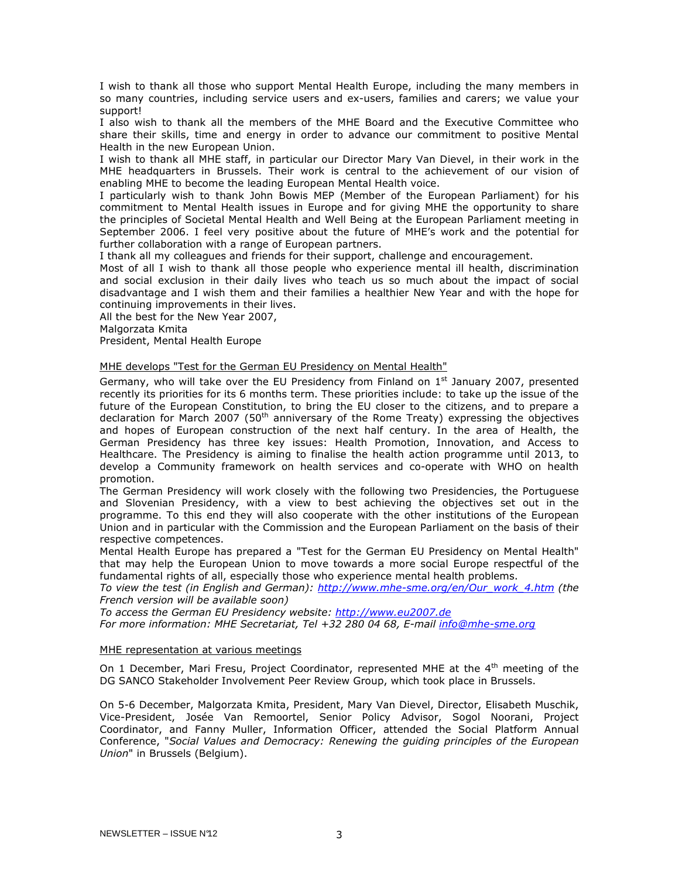I wish to thank all those who support Mental Health Europe, including the many members in so many countries, including service users and ex-users, families and carers; we value your support!

I also wish to thank all the members of the MHE Board and the Executive Committee who share their skills, time and energy in order to advance our commitment to positive Mental Health in the new European Union.

I wish to thank all MHE staff, in particular our Director Mary Van Dievel, in their work in the MHE headquarters in Brussels. Their work is central to the achievement of our vision of enabling MHE to become the leading European Mental Health voice.

I particularly wish to thank John Bowis MEP (Member of the European Parliament) for his commitment to Mental Health issues in Europe and for giving MHE the opportunity to share the principles of Societal Mental Health and Well Being at the European Parliament meeting in September 2006. I feel very positive about the future of MHE's work and the potential for further collaboration with a range of European partners.

I thank all my colleagues and friends for their support, challenge and encouragement.

Most of all I wish to thank all those people who experience mental ill health, discrimination and social exclusion in their daily lives who teach us so much about the impact of social disadvantage and I wish them and their families a healthier New Year and with the hope for continuing improvements in their lives.

All the best for the New Year 2007,

Malgorzata Kmita

President, Mental Health Europe

## MHE develops "Test for the German EU Presidency on Mental Health"

Germany, who will take over the EU Presidency from Finland on  $1<sup>st</sup>$  January 2007, presented recently its priorities for its 6 months term. These priorities include: to take up the issue of the future of the European Constitution, to bring the EU closer to the citizens, and to prepare a declaration for March 2007 (50<sup>th</sup> anniversary of the Rome Treaty) expressing the objectives and hopes of European construction of the next half century. In the area of Health, the German Presidency has three key issues: Health Promotion, Innovation, and Access to Healthcare. The Presidency is aiming to finalise the health action programme until 2013, to develop a Community framework on health services and co-operate with WHO on health promotion.

The German Presidency will work closely with the following two Presidencies, the Portuguese and Slovenian Presidency, with a view to best achieving the objectives set out in the programme. To this end they will also cooperate with the other institutions of the European Union and in particular with the Commission and the European Parliament on the basis of their respective competences.

Mental Health Europe has prepared a "Test for the German EU Presidency on Mental Health" that may help the European Union to move towards a more social Europe respectful of the fundamental rights of all, especially those who experience mental health problems.

To view the test (in English and German): http://www.mhe-sme.org/en/Our\_work\_4.htm (the French version will be available soon)

To access the German EU Presidency website: http://www.eu2007.de

For more information: MHE Secretariat, Tel +32 280 04 68, E-mail info@mhe-sme.org

#### MHE representation at various meetings

On 1 December, Mari Fresu, Project Coordinator, represented MHE at the 4<sup>th</sup> meeting of the DG SANCO Stakeholder Involvement Peer Review Group, which took place in Brussels.

On 5-6 December, Malgorzata Kmita, President, Mary Van Dievel, Director, Elisabeth Muschik, Vice-President, Josée Van Remoortel, Senior Policy Advisor, Sogol Noorani, Project Coordinator, and Fanny Muller, Information Officer, attended the Social Platform Annual Conference, "Social Values and Democracy: Renewing the guiding principles of the European Union" in Brussels (Belgium).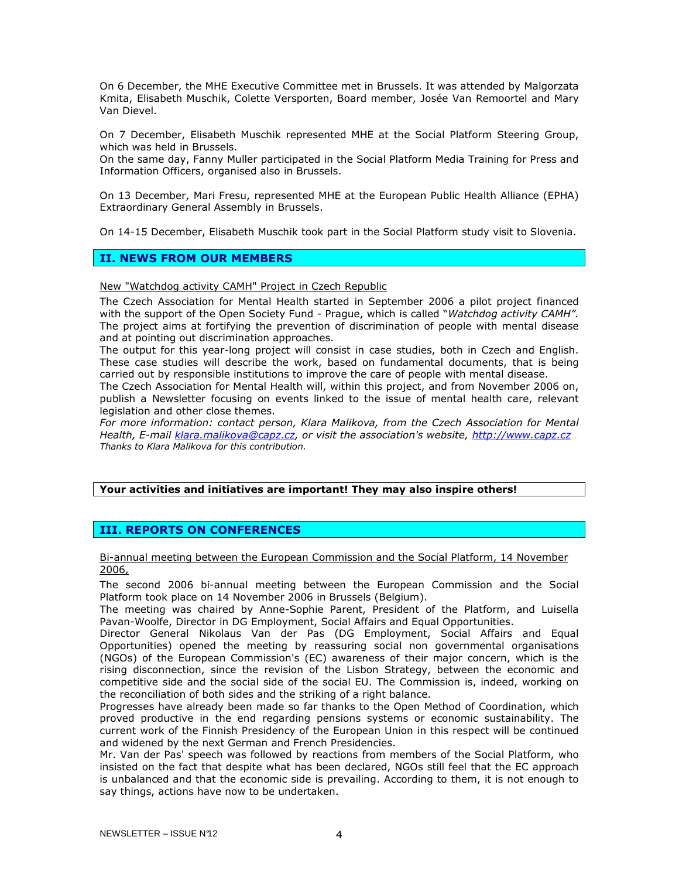On 6 December, the MHE Executive Committee met in Brussels. It was attended by Malgorzata Kmita, Elisabeth Muschik, Colette Versporten, Board member, Josée Van Remoortel and Mary Van Dievel.

On 7 December, Elisabeth Muschik represented MHE at the Social Platform Steering Group, which was held in Brussels.

On the same day, Fanny Muller participated in the Social Platform Media Training for Press and Information Officers, organised also in Brussels.

On 13 December, Mari Fresu, represented MHE at the European Public Health Alliance (EPHA) Extraordinary General Assembly in Brussels.

On 14-15 December, Elisabeth Muschik took part in the Social Platform study visit to Slovenia.

## II. NEWS FROM OUR MEMBERS

New "Watchdog activity CAMH" Project in Czech Republic

The Czech Association for Mental Health started in September 2006 a pilot project financed with the support of the Open Society Fund - Prague, which is called "Watchdog activity CAMH". The project aims at fortifying the prevention of discrimination of people with mental disease and at pointing out discrimination approaches.

The output for this year-long project will consist in case studies, both in Czech and English. These case studies will describe the work, based on fundamental documents, that is being carried out by responsible institutions to improve the care of people with mental disease.

The Czech Association for Mental Health will, within this project, and from November 2006 on, publish a Newsletter focusing on events linked to the issue of mental health care, relevant legislation and other close themes.

For more information: contact person, Klara Malikova, from the Czech Association for Mental Health, E-mail klara.malikova@capz.cz, or visit the association's website, http://www.capz.cz Thanks to Klara Malikova for this contribution.

## Your activities and initiatives are important! They may also inspire others!

## III. REPORTS ON CONFERENCES

Bi-annual meeting between the European Commission and the Social Platform, 14 November 2006,

The second 2006 bi-annual meeting between the European Commission and the Social Platform took place on 14 November 2006 in Brussels (Belgium).

The meeting was chaired by Anne-Sophie Parent, President of the Platform, and Luisella Pavan-Woolfe, Director in DG Employment, Social Affairs and Equal Opportunities.

Director General Nikolaus Van der Pas (DG Employment, Social Affairs and Equal Opportunities) opened the meeting by reassuring social non governmental organisations (NGOs) of the European Commission's (EC) awareness of their major concern, which is the rising disconnection, since the revision of the Lisbon Strategy, between the economic and competitive side and the social side of the social EU. The Commission is, indeed, working on the reconciliation of both sides and the striking of a right balance.

Progresses have already been made so far thanks to the Open Method of Coordination, which proved productive in the end regarding pensions systems or economic sustainability. The current work of the Finnish Presidency of the European Union in this respect will be continued and widened by the next German and French Presidencies.

Mr. Van der Pas' speech was followed by reactions from members of the Social Platform, who insisted on the fact that despite what has been declared, NGOs still feel that the EC approach is unbalanced and that the economic side is prevailing. According to them, it is not enough to say things, actions have now to be undertaken.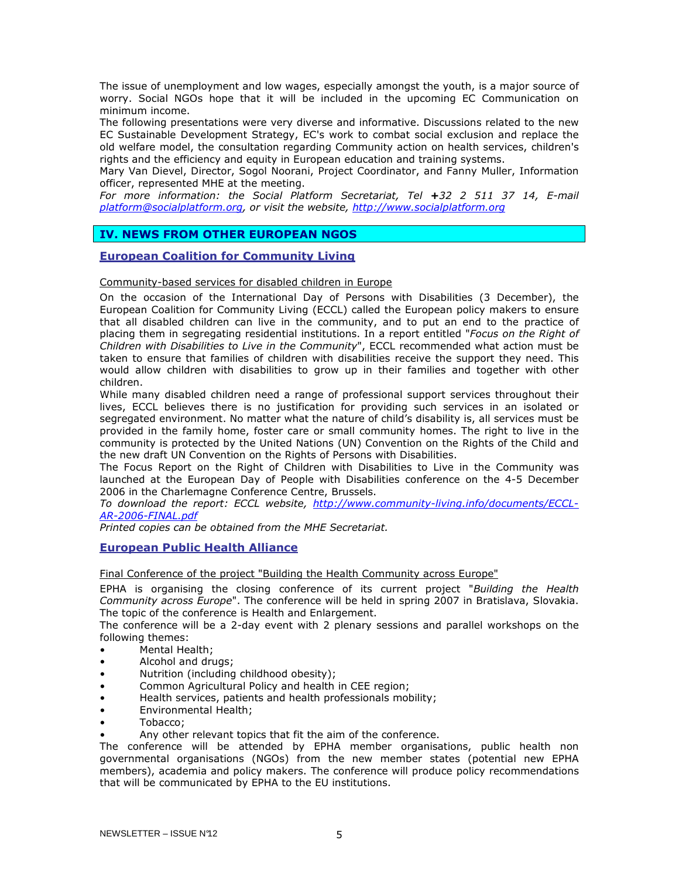The issue of unemployment and low wages, especially amongst the youth, is a major source of worry. Social NGOs hope that it will be included in the upcoming EC Communication on minimum income.

The following presentations were very diverse and informative. Discussions related to the new EC Sustainable Development Strategy, EC's work to combat social exclusion and replace the old welfare model, the consultation regarding Community action on health services, children's rights and the efficiency and equity in European education and training systems.

Mary Van Dievel, Director, Sogol Noorani, Project Coordinator, and Fanny Muller, Information officer, represented MHE at the meeting.

For more information: the Social Platform Secretariat, Tel +32 2 511 37 14, E-mail platform@socialplatform.org, or visit the website, http://www.socialplatform.org

## IV. NEWS FROM OTHER EUROPEAN NGOS

## European Coalition for Community Living

## Community-based services for disabled children in Europe

On the occasion of the International Day of Persons with Disabilities (3 December), the European Coalition for Community Living (ECCL) called the European policy makers to ensure that all disabled children can live in the community, and to put an end to the practice of placing them in segregating residential institutions. In a report entitled "Focus on the Right of Children with Disabilities to Live in the Community", ECCL recommended what action must be taken to ensure that families of children with disabilities receive the support they need. This would allow children with disabilities to grow up in their families and together with other children.

While many disabled children need a range of professional support services throughout their lives, ECCL believes there is no justification for providing such services in an isolated or segregated environment. No matter what the nature of child's disability is, all services must be provided in the family home, foster care or small community homes. The right to live in the community is protected by the United Nations (UN) Convention on the Rights of the Child and the new draft UN Convention on the Rights of Persons with Disabilities.

The Focus Report on the Right of Children with Disabilities to Live in the Community was launched at the European Day of People with Disabilities conference on the 4-5 December 2006 in the Charlemagne Conference Centre, Brussels.

To download the report: ECCL website, http://www.community-living.info/documents/ECCL-AR-2006-FINAL.pdf

Printed copies can be obtained from the MHE Secretariat.

## European Public Health Alliance

Final Conference of the project "Building the Health Community across Europe"

EPHA is organising the closing conference of its current project "Building the Health Community across Europe". The conference will be held in spring 2007 in Bratislava, Slovakia. The topic of the conference is Health and Enlargement.

The conference will be a 2-day event with 2 plenary sessions and parallel workshops on the following themes:

- Mental Health;
- Alcohol and drugs;
- Nutrition (including childhood obesity);
- Common Agricultural Policy and health in CEE region;
- Health services, patients and health professionals mobility;
- Environmental Health;
- Tobacco;
- Any other relevant topics that fit the aim of the conference.

The conference will be attended by EPHA member organisations, public health non governmental organisations (NGOs) from the new member states (potential new EPHA members), academia and policy makers. The conference will produce policy recommendations that will be communicated by EPHA to the EU institutions.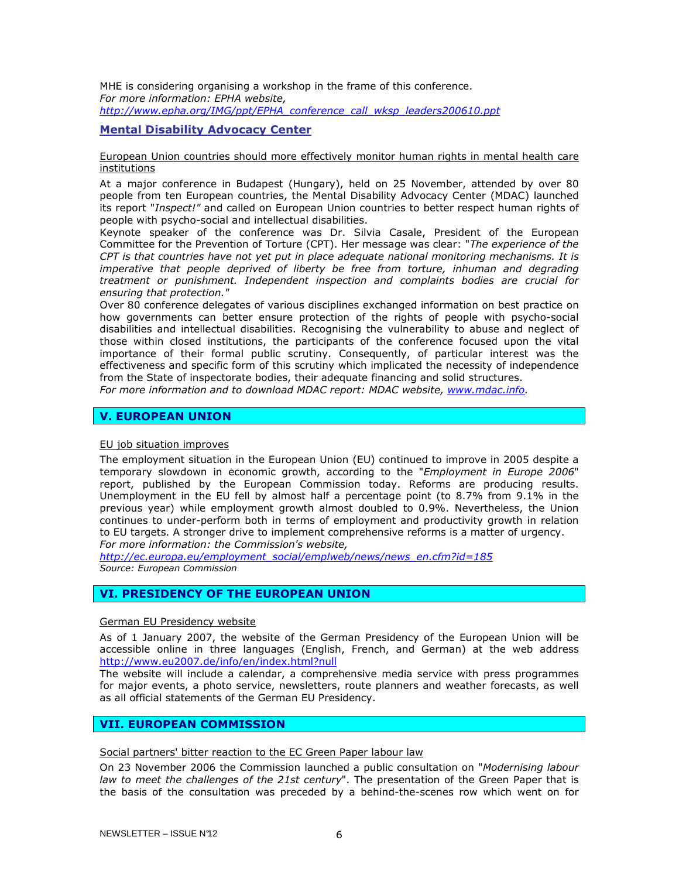MHE is considering organising a workshop in the frame of this conference. For more information: EPHA website, http://www.epha.org/IMG/ppt/EPHA\_conference\_call\_wksp\_leaders200610.ppt

## Mental Disability Advocacy Center

## European Union countries should more effectively monitor human rights in mental health care institutions

At a major conference in Budapest (Hungary), held on 25 November, attended by over 80 people from ten European countries, the Mental Disability Advocacy Center (MDAC) launched its report "Inspect!" and called on European Union countries to better respect human rights of people with psycho-social and intellectual disabilities.

Keynote speaker of the conference was Dr. Silvia Casale, President of the European Committee for the Prevention of Torture (CPT). Her message was clear: "The experience of the CPT is that countries have not yet put in place adequate national monitoring mechanisms. It is imperative that people deprived of liberty be free from torture, inhuman and degrading treatment or punishment. Independent inspection and complaints bodies are crucial for ensuring that protection."

Over 80 conference delegates of various disciplines exchanged information on best practice on how governments can better ensure protection of the rights of people with psycho-social disabilities and intellectual disabilities. Recognising the vulnerability to abuse and neglect of those within closed institutions, the participants of the conference focused upon the vital importance of their formal public scrutiny. Consequently, of particular interest was the effectiveness and specific form of this scrutiny which implicated the necessity of independence from the State of inspectorate bodies, their adequate financing and solid structures.

For more information and to download MDAC report: MDAC website, www.mdac.info.

## V. EUROPEAN UNION

#### EU job situation improves

The employment situation in the European Union (EU) continued to improve in 2005 despite a temporary slowdown in economic growth, according to the "Employment in Europe 2006" report, published by the European Commission today. Reforms are producing results. Unemployment in the EU fell by almost half a percentage point (to 8.7% from 9.1% in the previous year) while employment growth almost doubled to 0.9%. Nevertheless, the Union continues to under-perform both in terms of employment and productivity growth in relation to EU targets. A stronger drive to implement comprehensive reforms is a matter of urgency. For more information: the Commission's website,

http://ec.europa.eu/employment\_social/emplweb/news/news\_en.cfm?id=185 Source: European Commission

## VI. PRESIDENCY OF THE EUROPEAN UNION

#### German EU Presidency website

As of 1 January 2007, the website of the German Presidency of the European Union will be accessible online in three languages (English, French, and German) at the web address http://www.eu2007.de/info/en/index.html?null

The website will include a calendar, a comprehensive media service with press programmes for major events, a photo service, newsletters, route planners and weather forecasts, as well as all official statements of the German EU Presidency.

## VII. EUROPEAN COMMISSION

Social partners' bitter reaction to the EC Green Paper labour law

On 23 November 2006 the Commission launched a public consultation on "Modernising labour law to meet the challenges of the 21st century". The presentation of the Green Paper that is the basis of the consultation was preceded by a behind-the-scenes row which went on for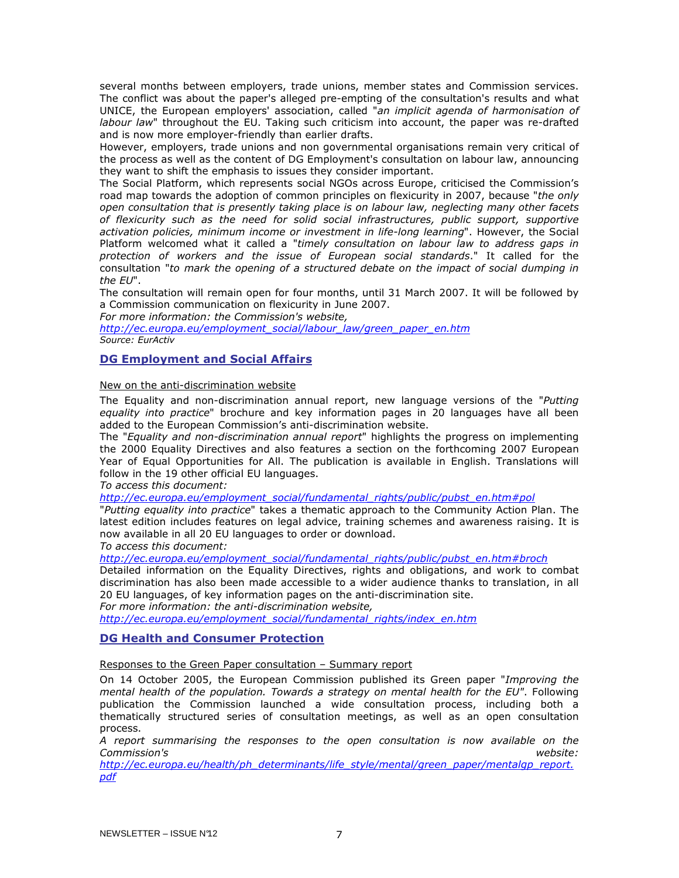several months between employers, trade unions, member states and Commission services. The conflict was about the paper's alleged pre-empting of the consultation's results and what UNICE, the European employers' association, called "an implicit agenda of harmonisation of labour law" throughout the EU. Taking such criticism into account, the paper was re-drafted and is now more employer-friendly than earlier drafts.

However, employers, trade unions and non governmental organisations remain very critical of the process as well as the content of DG Employment's consultation on labour law, announcing they want to shift the emphasis to issues they consider important.

The Social Platform, which represents social NGOs across Europe, criticised the Commission's road map towards the adoption of common principles on flexicurity in 2007, because "the only open consultation that is presently taking place is on labour law, neglecting many other facets of flexicurity such as the need for solid social infrastructures, public support, supportive activation policies, minimum income or investment in life-long learning". However, the Social Platform welcomed what it called a "timely consultation on labour law to address gaps in protection of workers and the issue of European social standards." It called for the consultation "to mark the opening of a structured debate on the impact of social dumping in the EU".

The consultation will remain open for four months, until 31 March 2007. It will be followed by a Commission communication on flexicurity in June 2007.

For more information: the Commission's website,

http://ec.europa.eu/employment\_social/labour\_law/green\_paper\_en.htm Source: EurActiv

## DG Employment and Social Affairs

## New on the anti-discrimination website

The Equality and non-discrimination annual report, new language versions of the "Putting" equality into practice" brochure and key information pages in 20 languages have all been added to the European Commission's anti-discrimination website.

The "Equality and non-discrimination annual report" highlights the progress on implementing the 2000 Equality Directives and also features a section on the forthcoming 2007 European Year of Equal Opportunities for All. The publication is available in English. Translations will follow in the 19 other official EU languages.

To access this document:

http://ec.europa.eu/employment\_social/fundamental\_rights/public/pubst\_en.htm#pol

"Putting equality into practice" takes a thematic approach to the Community Action Plan. The latest edition includes features on legal advice, training schemes and awareness raising. It is now available in all 20 EU languages to order or download.

To access this document:

http://ec.europa.eu/employment\_social/fundamental\_rights/public/pubst\_en.htm#broch

Detailed information on the Equality Directives, rights and obligations, and work to combat discrimination has also been made accessible to a wider audience thanks to translation, in all 20 EU languages, of key information pages on the anti-discrimination site.

For more information: the anti-discrimination website,

http://ec.europa.eu/employment\_social/fundamental\_rights/index\_en.htm

## DG Health and Consumer Protection

## Responses to the Green Paper consultation – Summary report

On 14 October 2005, the European Commission published its Green paper "Improving the mental health of the population. Towards a strategy on mental health for the EU". Following publication the Commission launched a wide consultation process, including both a thematically structured series of consultation meetings, as well as an open consultation process.

A report summarising the responses to the open consultation is now available on the Commission's website:

http://ec.europa.eu/health/ph\_determinants/life\_style/mental/green\_paper/mentalgp\_report. pdf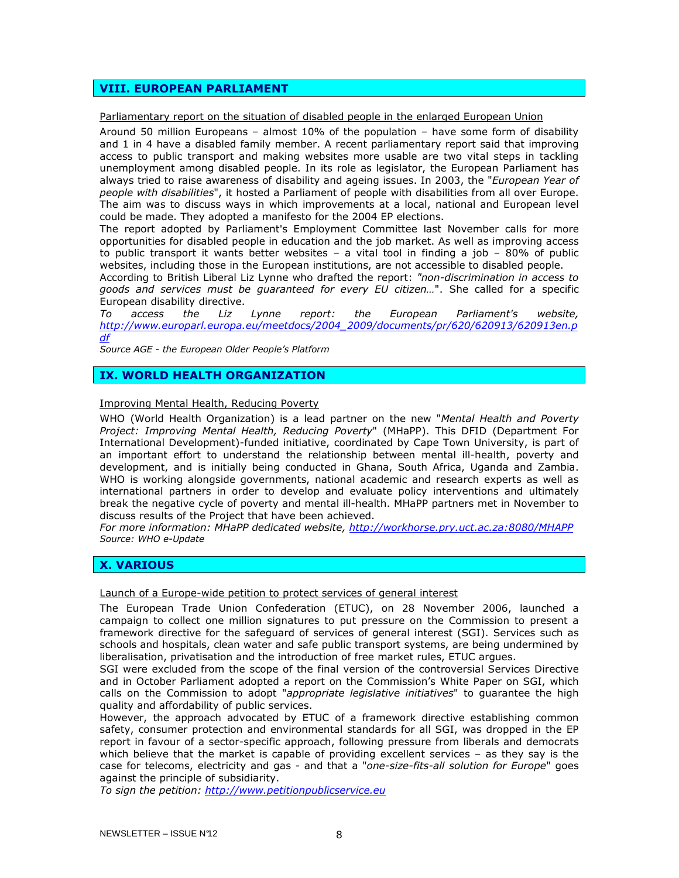## VIII. EUROPEAN PARLIAMENT

Parliamentary report on the situation of disabled people in the enlarged European Union

Around 50 million Europeans – almost 10% of the population – have some form of disability and 1 in 4 have a disabled family member. A recent parliamentary report said that improving access to public transport and making websites more usable are two vital steps in tackling unemployment among disabled people. In its role as legislator, the European Parliament has always tried to raise awareness of disability and ageing issues. In 2003, the "European Year of people with disabilities", it hosted a Parliament of people with disabilities from all over Europe. The aim was to discuss ways in which improvements at a local, national and European level could be made. They adopted a manifesto for the 2004 EP elections.

The report adopted by Parliament's Employment Committee last November calls for more opportunities for disabled people in education and the job market. As well as improving access to public transport it wants better websites – a vital tool in finding a job – 80% of public websites, including those in the European institutions, are not accessible to disabled people.

According to British Liberal Liz Lynne who drafted the report: "non-discrimination in access to goods and services must be guaranteed for every EU citizen…". She called for a specific European disability directive.

To access the Liz Lynne report: the European Parliament's website, http://www.europarl.europa.eu/meetdocs/2004\_2009/documents/pr/620/620913/620913en.p df

Source AGE - the European Older People's Platform

## IX. WORLD HEALTH ORGANIZATION

#### Improving Mental Health, Reducing Poverty

WHO (World Health Organization) is a lead partner on the new "Mental Health and Poverty Project: Improving Mental Health, Reducing Poverty" (MHaPP). This DFID (Department For International Development)-funded initiative, coordinated by Cape Town University, is part of an important effort to understand the relationship between mental ill-health, poverty and development, and is initially being conducted in Ghana, South Africa, Uganda and Zambia. WHO is working alongside governments, national academic and research experts as well as international partners in order to develop and evaluate policy interventions and ultimately break the negative cycle of poverty and mental ill-health. MHaPP partners met in November to discuss results of the Project that have been achieved.

For more information: MHaPP dedicated website, http://workhorse.pry.uct.ac.za:8080/MHAPP Source: WHO e-Update

## X. VARIOUS

Launch of a Europe-wide petition to protect services of general interest

The European Trade Union Confederation (ETUC), on 28 November 2006, launched a campaign to collect one million signatures to put pressure on the Commission to present a framework directive for the safeguard of services of general interest (SGI). Services such as schools and hospitals, clean water and safe public transport systems, are being undermined by liberalisation, privatisation and the introduction of free market rules, ETUC argues.

SGI were excluded from the scope of the final version of the controversial Services Directive and in October Parliament adopted a report on the Commission's White Paper on SGI, which calls on the Commission to adopt "appropriate legislative initiatives" to quarantee the high quality and affordability of public services.

However, the approach advocated by ETUC of a framework directive establishing common safety, consumer protection and environmental standards for all SGI, was dropped in the EP report in favour of a sector-specific approach, following pressure from liberals and democrats which believe that the market is capable of providing excellent services – as they say is the case for telecoms, electricity and gas - and that a "one-size-fits-all solution for Europe" goes against the principle of subsidiarity.

To sign the petition: http://www.petitionpublicservice.eu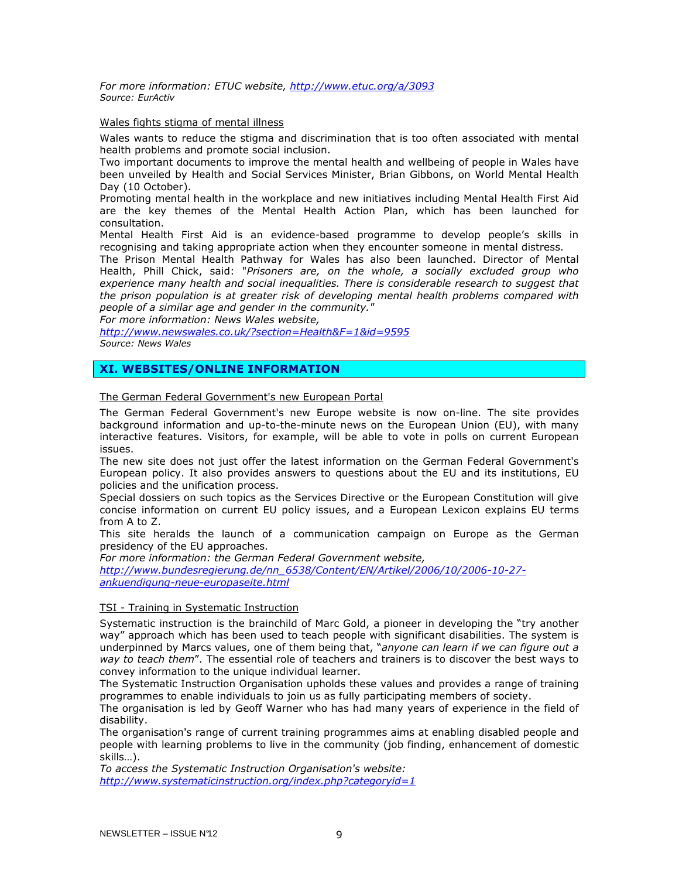For more information: ETUC website, http://www.etuc.org/a/3093 Source: EurActiv

#### Wales fights stigma of mental illness

Wales wants to reduce the stigma and discrimination that is too often associated with mental health problems and promote social inclusion.

Two important documents to improve the mental health and wellbeing of people in Wales have been unveiled by Health and Social Services Minister, Brian Gibbons, on World Mental Health Day (10 October).

Promoting mental health in the workplace and new initiatives including Mental Health First Aid are the key themes of the Mental Health Action Plan, which has been launched for consultation.

Mental Health First Aid is an evidence-based programme to develop people's skills in recognising and taking appropriate action when they encounter someone in mental distress.

The Prison Mental Health Pathway for Wales has also been launched. Director of Mental Health, Phill Chick, said: "Prisoners are, on the whole, a socially excluded group who experience many health and social inequalities. There is considerable research to suggest that the prison population is at greater risk of developing mental health problems compared with people of a similar age and gender in the community."

For more information: News Wales website,

http://www.newswales.co.uk/?section=Health&F=1&id=9595 Source: News Wales

## XI. WEBSITES/ONLINE INFORMATION

## The German Federal Government's new European Portal

The German Federal Government's new Europe website is now on-line. The site provides background information and up-to-the-minute news on the European Union (EU), with many interactive features. Visitors, for example, will be able to vote in polls on current European issues.

The new site does not just offer the latest information on the German Federal Government's European policy. It also provides answers to questions about the EU and its institutions, EU policies and the unification process.

Special dossiers on such topics as the Services Directive or the European Constitution will give concise information on current EU policy issues, and a European Lexicon explains EU terms from A to Z.

This site heralds the launch of a communication campaign on Europe as the German presidency of the EU approaches.

For more information: the German Federal Government website,

http://www.bundesregierung.de/nn\_6538/Content/EN/Artikel/2006/10/2006-10-27ankuendigung-neue-europaseite.html

## TSI - Training in Systematic Instruction

Systematic instruction is the brainchild of Marc Gold, a pioneer in developing the "try another way" approach which has been used to teach people with significant disabilities. The system is underpinned by Marcs values, one of them being that, "anyone can learn if we can figure out a way to teach them". The essential role of teachers and trainers is to discover the best ways to convey information to the unique individual learner.

The Systematic Instruction Organisation upholds these values and provides a range of training programmes to enable individuals to join us as fully participating members of society.

The organisation is led by Geoff Warner who has had many years of experience in the field of disability.

The organisation's range of current training programmes aims at enabling disabled people and people with learning problems to live in the community (job finding, enhancement of domestic skills…).

To access the Systematic Instruction Organisation's website: http://www.systematicinstruction.org/index.php?categoryid=1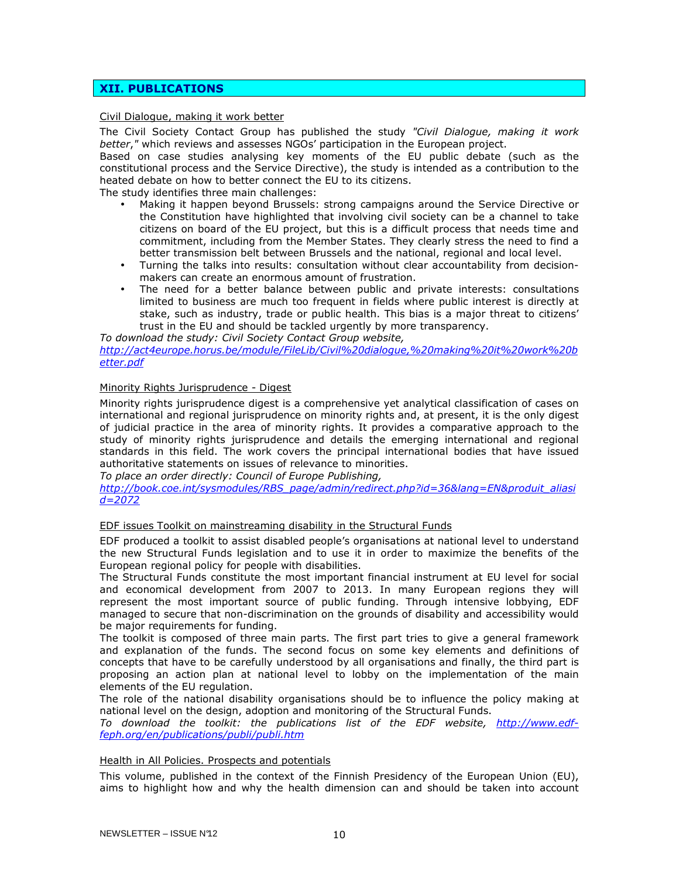## XII. PUBLICATIONS

## Civil Dialogue, making it work better

The Civil Society Contact Group has published the study "Civil Dialogue, making it work better," which reviews and assesses NGOs' participation in the European project.

Based on case studies analysing key moments of the EU public debate (such as the constitutional process and the Service Directive), the study is intended as a contribution to the heated debate on how to better connect the EU to its citizens.

The study identifies three main challenges:

- Making it happen beyond Brussels: strong campaigns around the Service Directive or the Constitution have highlighted that involving civil society can be a channel to take citizens on board of the EU project, but this is a difficult process that needs time and commitment, including from the Member States. They clearly stress the need to find a better transmission belt between Brussels and the national, regional and local level.
- Turning the talks into results: consultation without clear accountability from decisionmakers can create an enormous amount of frustration.
- The need for a better balance between public and private interests: consultations limited to business are much too frequent in fields where public interest is directly at stake, such as industry, trade or public health. This bias is a major threat to citizens' trust in the EU and should be tackled urgently by more transparency.

To download the study: Civil Society Contact Group website, http://act4europe.horus.be/module/FileLib/Civil%20dialogue,%20making%20it%20work%20b etter.pdf

## Minority Rights Jurisprudence - Digest

Minority rights jurisprudence digest is a comprehensive yet analytical classification of cases on international and regional jurisprudence on minority rights and, at present, it is the only digest of judicial practice in the area of minority rights. It provides a comparative approach to the study of minority rights jurisprudence and details the emerging international and regional standards in this field. The work covers the principal international bodies that have issued authoritative statements on issues of relevance to minorities.

To place an order directly: Council of Europe Publishing,

http://book.coe.int/sysmodules/RBS\_page/admin/redirect.php?id=36&lang=EN&produit\_aliasi  $d = 2072$ 

#### EDF issues Toolkit on mainstreaming disability in the Structural Funds

EDF produced a toolkit to assist disabled people's organisations at national level to understand the new Structural Funds legislation and to use it in order to maximize the benefits of the European regional policy for people with disabilities.

The Structural Funds constitute the most important financial instrument at EU level for social and economical development from 2007 to 2013. In many European regions they will represent the most important source of public funding. Through intensive lobbying, EDF managed to secure that non-discrimination on the grounds of disability and accessibility would be major requirements for funding.

The toolkit is composed of three main parts. The first part tries to give a general framework and explanation of the funds. The second focus on some key elements and definitions of concepts that have to be carefully understood by all organisations and finally, the third part is proposing an action plan at national level to lobby on the implementation of the main elements of the EU regulation.

The role of the national disability organisations should be to influence the policy making at national level on the design, adoption and monitoring of the Structural Funds.

To download the toolkit: the publications list of the EDF website, http://www.edffeph.org/en/publications/publi/publi.htm

#### Health in All Policies. Prospects and potentials

This volume, published in the context of the Finnish Presidency of the European Union (EU), aims to highlight how and why the health dimension can and should be taken into account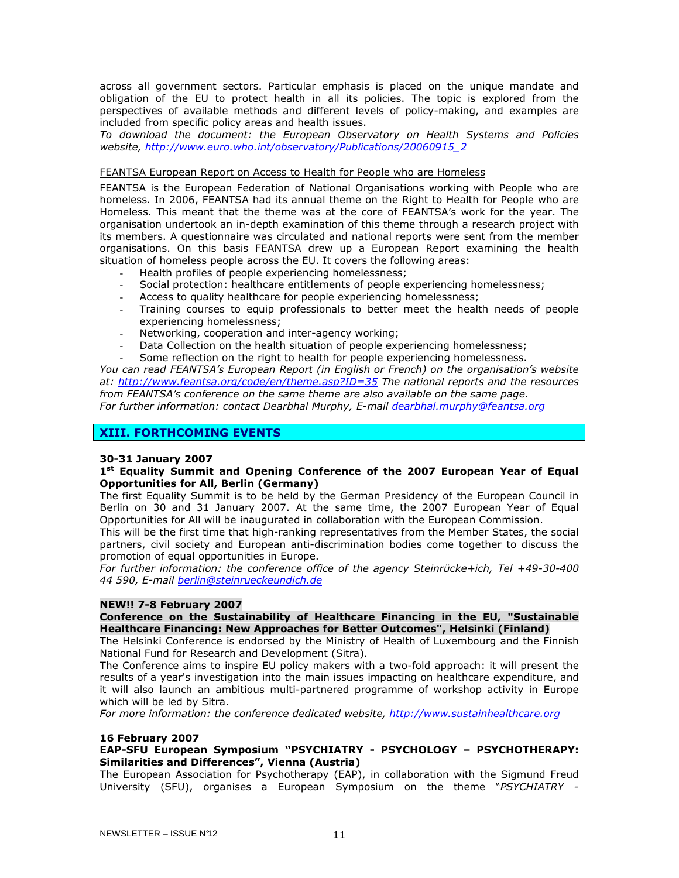across all government sectors. Particular emphasis is placed on the unique mandate and obligation of the EU to protect health in all its policies. The topic is explored from the perspectives of available methods and different levels of policy-making, and examples are included from specific policy areas and health issues.

To download the document: the European Observatory on Health Systems and Policies website, http://www.euro.who.int/observatory/Publications/20060915\_2

#### FEANTSA European Report on Access to Health for People who are Homeless

FEANTSA is the European Federation of National Organisations working with People who are homeless. In 2006, FEANTSA had its annual theme on the Right to Health for People who are Homeless. This meant that the theme was at the core of FEANTSA's work for the year. The organisation undertook an in-depth examination of this theme through a research project with its members. A questionnaire was circulated and national reports were sent from the member organisations. On this basis FEANTSA drew up a European Report examining the health situation of homeless people across the EU. It covers the following areas:

- Health profiles of people experiencing homelessness;
- Social protection: healthcare entitlements of people experiencing homelessness;
- Access to quality healthcare for people experiencing homelessness;
- Training courses to equip professionals to better meet the health needs of people experiencing homelessness;
- Networking, cooperation and inter-agency working;
- Data Collection on the health situation of people experiencing homelessness;
- Some reflection on the right to health for people experiencing homelessness.

You can read FEANTSA's European Report (in English or French) on the organisation's website at: http://www.feantsa.org/code/en/theme.asp?ID=35 The national reports and the resources from FEANTSA's conference on the same theme are also available on the same page. For further information: contact Dearbhal Murphy, E-mail dearbhal.murphy@feantsa.org

## XIII. FORTHCOMING EVENTS

## 30-31 January 2007

## 1<sup>st</sup> Equality Summit and Opening Conference of the 2007 European Year of Equal Opportunities for All, Berlin (Germany)

The first Equality Summit is to be held by the German Presidency of the European Council in Berlin on 30 and 31 January 2007. At the same time, the 2007 European Year of Equal Opportunities for All will be inaugurated in collaboration with the European Commission.

This will be the first time that high-ranking representatives from the Member States, the social partners, civil society and European anti-discrimination bodies come together to discuss the promotion of equal opportunities in Europe.

For further information: the conference office of the agency Steinrücke+ich, Tel +49-30-400 44 590, E-mail berlin@steinrueckeundich.de

## NEW!! 7-8 February 2007

## Conference on the Sustainability of Healthcare Financing in the EU, "Sustainable Healthcare Financing: New Approaches for Better Outcomes", Helsinki (Finland)

The Helsinki Conference is endorsed by the Ministry of Health of Luxembourg and the Finnish National Fund for Research and Development (Sitra).

The Conference aims to inspire EU policy makers with a two-fold approach: it will present the results of a year's investigation into the main issues impacting on healthcare expenditure, and it will also launch an ambitious multi-partnered programme of workshop activity in Europe which will be led by Sitra.

For more information: the conference dedicated website, http://www.sustainhealthcare.org

#### 16 February 2007

## EAP-SFU European Symposium "PSYCHIATRY - PSYCHOLOGY – PSYCHOTHERAPY: Similarities and Differences", Vienna (Austria)

The European Association for Psychotherapy (EAP), in collaboration with the Sigmund Freud University (SFU), organises a European Symposium on the theme "PSYCHIATRY -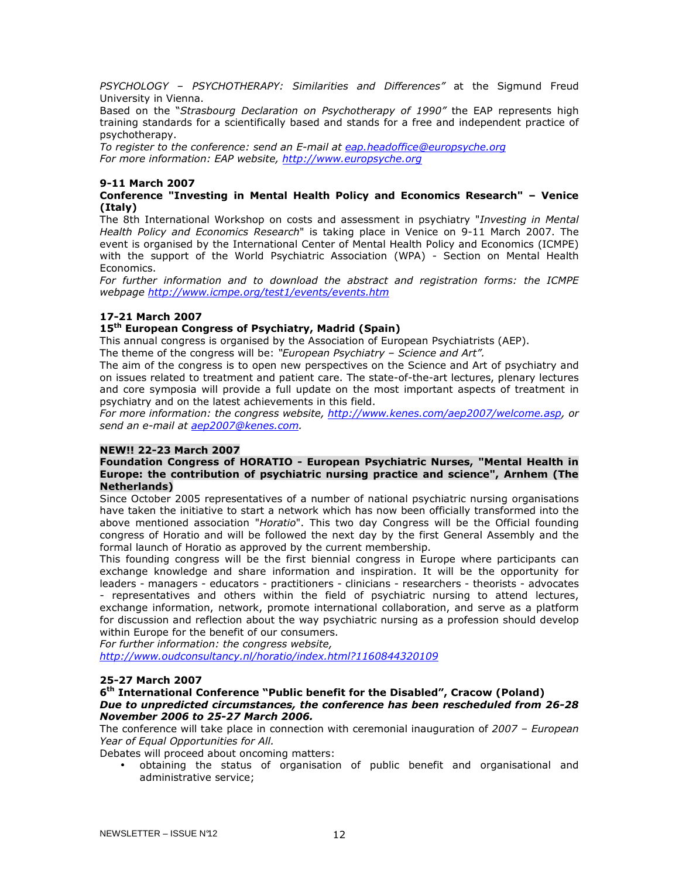PSYCHOLOGY - PSYCHOTHERAPY: Similarities and Differences" at the Sigmund Freud University in Vienna.

Based on the "Strasbourg Declaration on Psychotherapy of 1990" the EAP represents high training standards for a scientifically based and stands for a free and independent practice of psychotherapy.

To register to the conference: send an E-mail at eap.headoffice@europsyche.org For more information: EAP website, http://www.europsyche.org

## 9-11 March 2007

## Conference "Investing in Mental Health Policy and Economics Research" – Venice (Italy)

The 8th International Workshop on costs and assessment in psychiatry "Investing in Mental Health Policy and Economics Research" is taking place in Venice on 9-11 March 2007. The event is organised by the International Center of Mental Health Policy and Economics (ICMPE) with the support of the World Psychiatric Association (WPA) - Section on Mental Health Economics.

For further information and to download the abstract and registration forms: the ICMPE webpage http://www.icmpe.org/test1/events/events.htm

## 17-21 March 2007

## 15<sup>th</sup> European Congress of Psychiatry, Madrid (Spain)

This annual congress is organised by the Association of European Psychiatrists (AEP).

The theme of the congress will be: "European Psychiatry - Science and Art".

The aim of the congress is to open new perspectives on the Science and Art of psychiatry and on issues related to treatment and patient care. The state-of-the-art lectures, plenary lectures and core symposia will provide a full update on the most important aspects of treatment in psychiatry and on the latest achievements in this field.

For more information: the congress website, http://www.kenes.com/aep2007/welcome.asp, or send an e-mail at aep2007@kenes.com.

#### NEW!! 22-23 March 2007

## Foundation Congress of HORATIO - European Psychiatric Nurses, "Mental Health in Europe: the contribution of psychiatric nursing practice and science", Arnhem (The Netherlands)

Since October 2005 representatives of a number of national psychiatric nursing organisations have taken the initiative to start a network which has now been officially transformed into the above mentioned association "Horatio". This two day Congress will be the Official founding congress of Horatio and will be followed the next day by the first General Assembly and the formal launch of Horatio as approved by the current membership.

This founding congress will be the first biennial congress in Europe where participants can exchange knowledge and share information and inspiration. It will be the opportunity for leaders - managers - educators - practitioners - clinicians - researchers - theorists - advocates - representatives and others within the field of psychiatric nursing to attend lectures, exchange information, network, promote international collaboration, and serve as a platform for discussion and reflection about the way psychiatric nursing as a profession should develop within Europe for the benefit of our consumers.

For further information: the congress website,

http://www.oudconsultancy.nl/horatio/index.html?1160844320109

## 25-27 March 2007

#### 6<sup>th</sup> International Conference "Public benefit for the Disabled", Cracow (Poland) Due to unpredicted circumstances, the conference has been rescheduled from 26-28 November 2006 to 25-27 March 2006.

The conference will take place in connection with ceremonial inauguration of 2007 – European Year of Equal Opportunities for All.

Debates will proceed about oncoming matters:

• obtaining the status of organisation of public benefit and organisational and administrative service;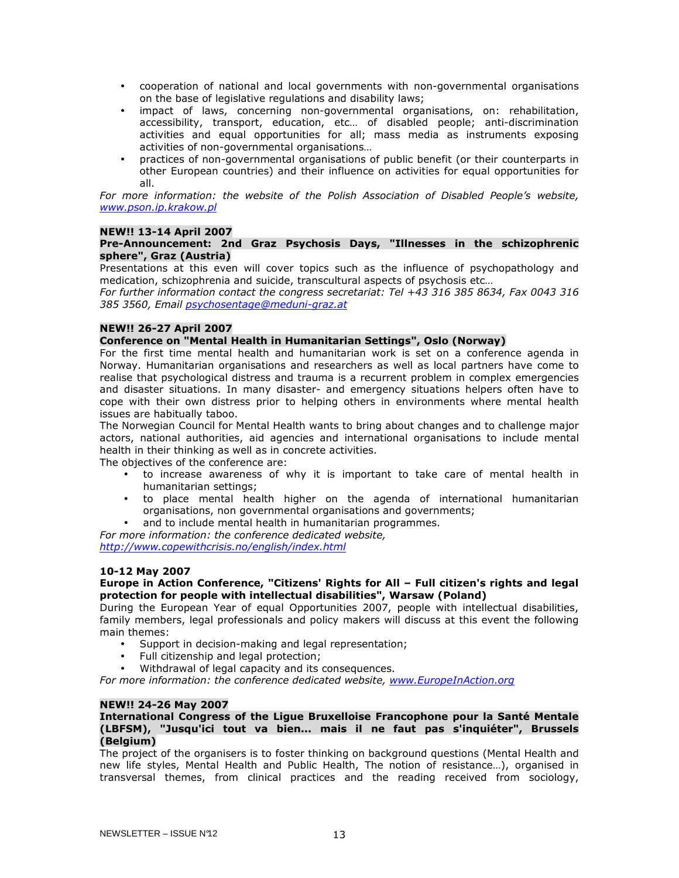- cooperation of national and local governments with non-governmental organisations on the base of legislative regulations and disability laws;
- impact of laws, concerning non-governmental organisations, on: rehabilitation, accessibility, transport, education, etc… of disabled people; anti-discrimination activities and equal opportunities for all; mass media as instruments exposing activities of non-governmental organisations…
- practices of non-governmental organisations of public benefit (or their counterparts in other European countries) and their influence on activities for equal opportunities for all.

For more information: the website of the Polish Association of Disabled People's website, www.pson.ip.krakow.pl

## NEW!! 13-14 April 2007

## Pre-Announcement: 2nd Graz Psychosis Days, "Illnesses in the schizophrenic sphere", Graz (Austria)

Presentations at this even will cover topics such as the influence of psychopathology and medication, schizophrenia and suicide, transcultural aspects of psychosis etc…

For further information contact the congress secretariat: Tel +43 316 385 8634, Fax 0043 316 385 3560, Email psychosentage@meduni-graz.at

## NEW!! 26-27 April 2007

## Conference on "Mental Health in Humanitarian Settings", Oslo (Norway)

For the first time mental health and humanitarian work is set on a conference agenda in Norway. Humanitarian organisations and researchers as well as local partners have come to realise that psychological distress and trauma is a recurrent problem in complex emergencies and disaster situations. In many disaster- and emergency situations helpers often have to cope with their own distress prior to helping others in environments where mental health issues are habitually taboo.

The Norwegian Council for Mental Health wants to bring about changes and to challenge major actors, national authorities, aid agencies and international organisations to include mental health in their thinking as well as in concrete activities.

The objectives of the conference are:

- to increase awareness of why it is important to take care of mental health in humanitarian settings;
- to place mental health higher on the agenda of international humanitarian organisations, non governmental organisations and governments;
- and to include mental health in humanitarian programmes.

For more information: the conference dedicated website, http://www.copewithcrisis.no/english/index.html

## 10-12 May 2007

## Europe in Action Conference, "Citizens' Rights for All – Full citizen's rights and legal protection for people with intellectual disabilities", Warsaw (Poland)

During the European Year of equal Opportunities 2007, people with intellectual disabilities, family members, legal professionals and policy makers will discuss at this event the following main themes:

- Support in decision-making and legal representation;
- Full citizenship and legal protection;
- Withdrawal of legal capacity and its consequences.

For more information: the conference dedicated website, www.EuropeInAction.org

#### NEW!! 24-26 May 2007

#### International Congress of the Ligue Bruxelloise Francophone pour la Santé Mentale (LBFSM), "Jusqu'ici tout va bien... mais il ne faut pas s'inquiéter", Brussels (Belgium)

The project of the organisers is to foster thinking on background questions (Mental Health and new life styles, Mental Health and Public Health, The notion of resistance…), organised in transversal themes, from clinical practices and the reading received from sociology,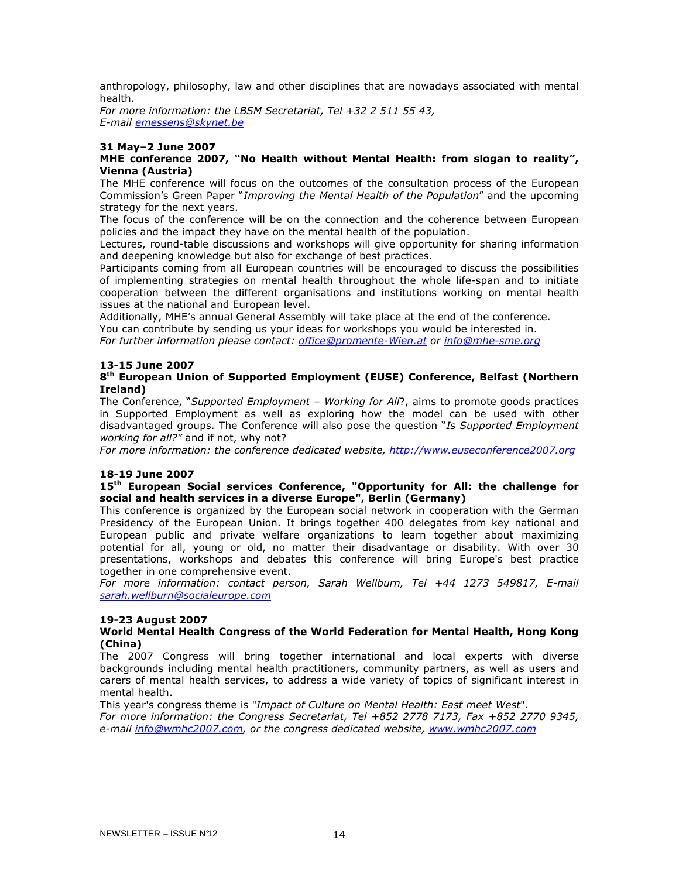anthropology, philosophy, law and other disciplines that are nowadays associated with mental health.

For more information: the LBSM Secretariat, Tel +32 2 511 55 43, E-mail emessens@skynet.be

## 31 May–2 June 2007

## MHE conference 2007, "No Health without Mental Health: from slogan to reality", Vienna (Austria)

The MHE conference will focus on the outcomes of the consultation process of the European Commission's Green Paper "Improving the Mental Health of the Population" and the upcoming strategy for the next years.

The focus of the conference will be on the connection and the coherence between European policies and the impact they have on the mental health of the population.

Lectures, round-table discussions and workshops will give opportunity for sharing information and deepening knowledge but also for exchange of best practices.

Participants coming from all European countries will be encouraged to discuss the possibilities of implementing strategies on mental health throughout the whole life-span and to initiate cooperation between the different organisations and institutions working on mental health issues at the national and European level.

Additionally, MHE's annual General Assembly will take place at the end of the conference. You can contribute by sending us your ideas for workshops you would be interested in.

For further information please contact: office@promente-Wien.at or info@mhe-sme.org

## 13-15 June 2007

## 8 th European Union of Supported Employment (EUSE) Conference, Belfast (Northern Ireland)

The Conference, "Supported Employment - Working for All?, aims to promote goods practices in Supported Employment as well as exploring how the model can be used with other disadvantaged groups. The Conference will also pose the question "Is Supported Employment working for all?" and if not, why not?

For more information: the conference dedicated website, http://www.euseconference2007.org

#### 18-19 June 2007

## 15<sup>th</sup> European Social services Conference, "Opportunity for All: the challenge for social and health services in a diverse Europe", Berlin (Germany)

This conference is organized by the European social network in cooperation with the German Presidency of the European Union. It brings together 400 delegates from key national and European public and private welfare organizations to learn together about maximizing potential for all, young or old, no matter their disadvantage or disability. With over 30 presentations, workshops and debates this conference will bring Europe's best practice together in one comprehensive event.

For more information: contact person, Sarah Wellburn, Tel +44 1273 549817, E-mail sarah.wellburn@socialeurope.com

#### 19-23 August 2007

#### World Mental Health Congress of the World Federation for Mental Health, Hong Kong (China)

The 2007 Congress will bring together international and local experts with diverse backgrounds including mental health practitioners, community partners, as well as users and carers of mental health services, to address a wide variety of topics of significant interest in mental health.

This year's congress theme is "Impact of Culture on Mental Health: East meet West". For more information: the Congress Secretariat, Tel +852 2778 7173, Fax +852 2770 9345, e-mail info@wmhc2007.com, or the congress dedicated website, www.wmhc2007.com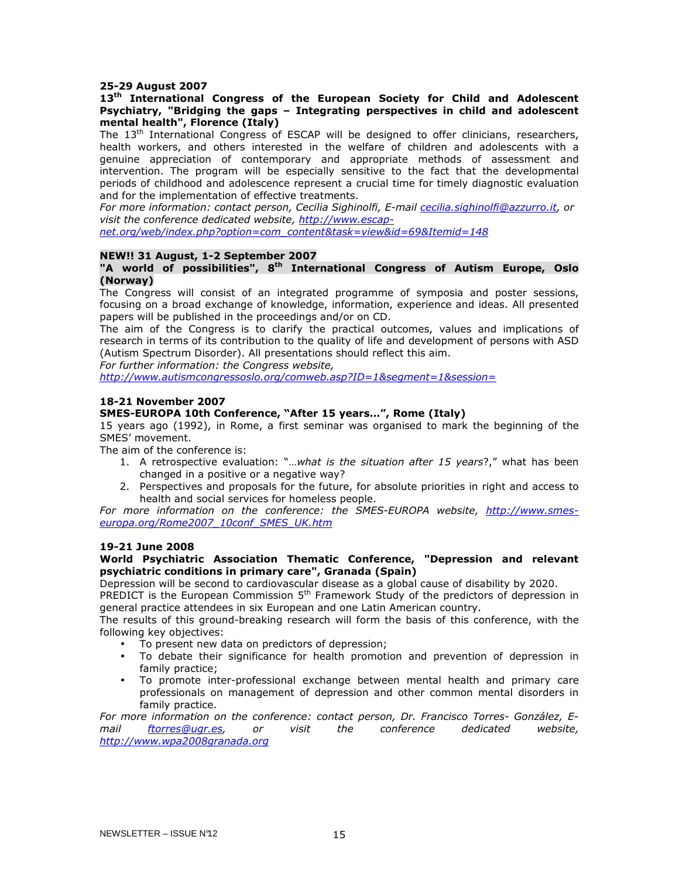#### 25-29 August 2007

## 13<sup>th</sup> International Congress of the European Society for Child and Adolescent Psychiatry, "Bridging the gaps – Integrating perspectives in child and adolescent mental health", Florence (Italy)

The 13<sup>th</sup> International Congress of ESCAP will be designed to offer clinicians, researchers, health workers, and others interested in the welfare of children and adolescents with a genuine appreciation of contemporary and appropriate methods of assessment and intervention. The program will be especially sensitive to the fact that the developmental periods of childhood and adolescence represent a crucial time for timely diagnostic evaluation and for the implementation of effective treatments.

For more information: contact person, Cecilia Sighinolfi, E-mail cecilia.sighinolfi@azzurro.it, or visit the conference dedicated website, http://www.escap-

net.org/web/index.php?option=com\_content&task=view&id=69&Itemid=148

#### NEW!! 31 August, 1-2 September 2007

#### "A world of possibilities", 8<sup>th</sup> International Congress of Autism Europe, Oslo (Norway)

The Congress will consist of an integrated programme of symposia and poster sessions, focusing on a broad exchange of knowledge, information, experience and ideas. All presented papers will be published in the proceedings and/or on CD.

The aim of the Congress is to clarify the practical outcomes, values and implications of research in terms of its contribution to the quality of life and development of persons with ASD (Autism Spectrum Disorder). All presentations should reflect this aim.

For further information: the Congress website,

http://www.autismcongressoslo.org/comweb.asp?ID=1&segment=1&session=

#### 18-21 November 2007

#### SMES-EUROPA 10th Conference, "After 15 years…", Rome (Italy)

15 years ago (1992), in Rome, a first seminar was organised to mark the beginning of the SMES' movement.

The aim of the conference is:

- 1. A retrospective evaluation: "...what is the situation after 15 years?," what has been changed in a positive or a negative way?
- 2. Perspectives and proposals for the future, for absolute priorities in right and access to health and social services for homeless people.

For more information on the conference: the SMES-EUROPA website, http://www.smeseuropa.org/Rome2007\_10conf\_SMES\_UK.htm

#### 19-21 June 2008

#### World Psychiatric Association Thematic Conference, "Depression and relevant psychiatric conditions in primary care", Granada (Spain)

Depression will be second to cardiovascular disease as a global cause of disability by 2020.

PREDICT is the European Commission  $5<sup>th</sup>$  Framework Study of the predictors of depression in general practice attendees in six European and one Latin American country.

The results of this ground-breaking research will form the basis of this conference, with the following key objectives:

- To present new data on predictors of depression;
- To debate their significance for health promotion and prevention of depression in family practice;
- To promote inter-professional exchange between mental health and primary care professionals on management of depression and other common mental disorders in family practice.

For more information on the conference: contact person, Dr. Francisco Torres- González, Email ftorres@ugr.es, or visit the conference dedicated website, http://www.wpa2008granada.org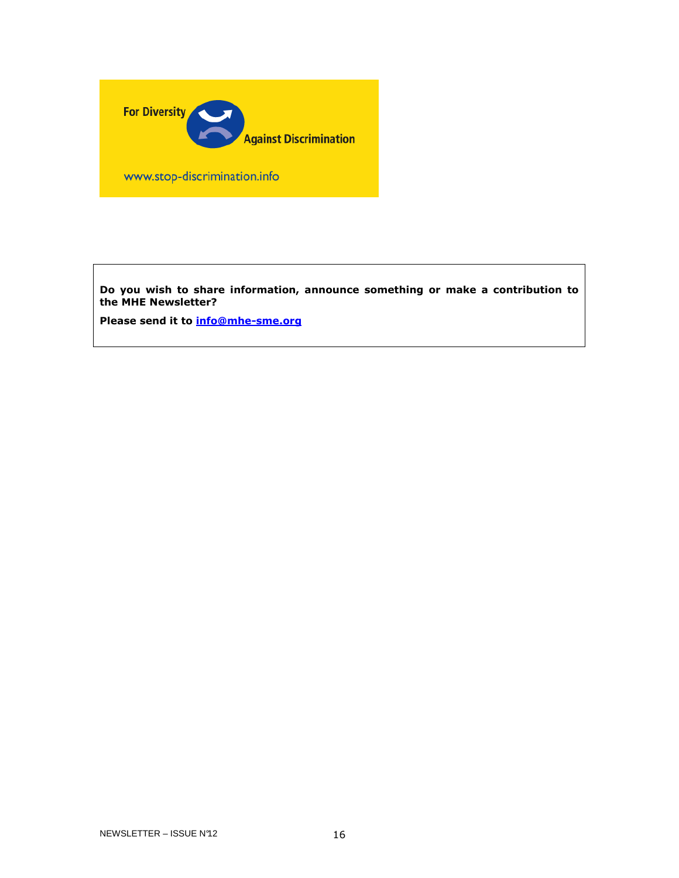

www.stop-discrimination.info

Do you wish to share information, announce something or make a contribution to the MHE Newsletter?

Please send it to **info@mhe-sme.org**